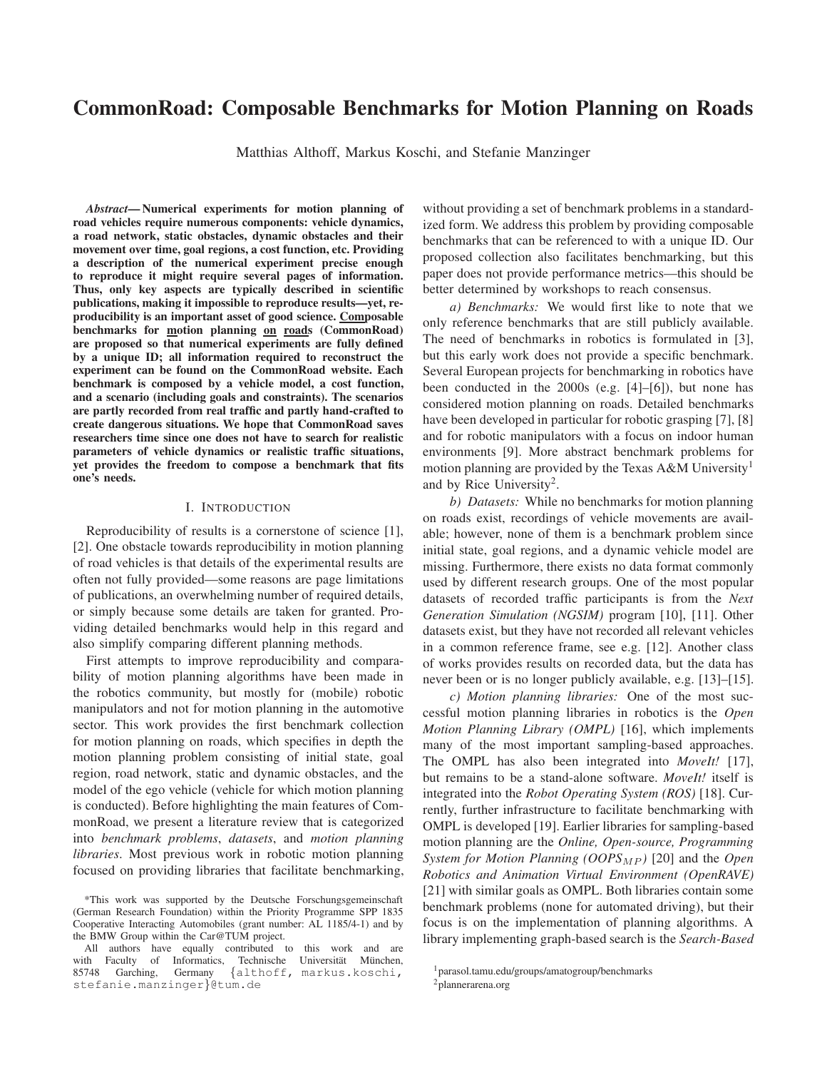# **CommonRoad: Composable Benchmarks for Motion Planning on Roads**

Matthias Althoff, Markus Koschi, and Stefanie Manzinger

Abstract-Numerical experiments for motion planning of road vehicles require numerous components: vehicle dynamics, a road network, static obstacles, dynamic obstacles and their movement over time, goal regions, a cost function, etc. Providing a description of the numerical experiment precise enough to reproduce it might require several pages of information. Thus, only key aspects are typically described in scientific publications, making it impossible to reproduce results—yet, reproducibility is an important asset of good science. Composable benchmarks for motion planning on roads (CommonRoad) are proposed so that numerical experiments are fully defined by a unique ID; all information required to reconstruct the experiment can be found on the CommonRoad website. Each benchmark is composed by a vehicle model, a cost function, and a scenario (including goals and constraints). The scenarios are partly recorded from real traffic and partly hand-crafted to create dangerous situations. We hope that CommonRoad saves researchers time since one does not have to search for realistic parameters of vehicle dynamics or realistic traffic situations, yet provides the freedom to compose a benchmark that fits one's needs.

## I. INTRODUCTION

Reproducibility of results is a cornerstone of science [1], [2]. One obstacle towards reproducibility in motion planning of road vehicles is that details of the experimental results are often not fully provided—some reasons are page limitations of publications, an overwhelming number of required details, or simply because some details are taken for granted. Providing detailed benchmarks would help in this regard and also simplify comparing different planning methods.

First attempts to improve reproducibility and comparability of motion planning algorithms have been made in the robotics community, but mostly for (mobile) robotic manipulators and not for motion planning in the automotive sector. This work provides the first benchmark collection for motion planning on roads, which specifies in depth the motion planning problem consisting of initial state, goal region, road network, static and dynamic obstacles, and the model of the ego vehicle (vehicle for which motion planning is conducted). Before highlighting the main features of CommonRoad, we present a literature review that is categorized into benchmark problems, datasets, and motion planning libraries. Most previous work in robotic motion planning focused on providing libraries that facilitate benchmarking, without providing a set of benchmark problems in a standardized form. We address this problem by providing composable benchmarks that can be referenced to with a unique ID. Our proposed collection also facilitates benchmarking, but this paper does not provide performance metrics—this should be better determined by workshops to reach consensus.

a) Benchmarks: We would first like to note that we only reference benchmarks that are still publicly available. The need of benchmarks in robotics is formulated in [3], but this early work does not provide a specific benchmark. Several European projects for benchmarking in robotics have been conducted in the  $2000s$  (e.g. [4]–[6]), but none has considered motion planning on roads. Detailed benchmarks have been developed in particular for robotic grasping [7], [8] and for robotic manipulators with a focus on indoor human environments [9]. More abstract benchmark problems for motion planning are provided by the Texas A&M University<sup>1</sup> and by Rice University<sup>2</sup>.

b) Datasets: While no benchmarks for motion planning on roads exist, recordings of vehicle movements are available; however, none of them is a benchmark problem since initial state, goal regions, and a dynamic vehicle model are missing. Furthermore, there exists no data format commonly used by different research groups. One of the most popular datasets of recorded traffic participants is from the Next Generation Simulation (NGSIM) program [10], [11]. Other datasets exist, but they have not recorded all relevant vehicles in a common reference frame, see e.g. [12]. Another class of works provides results on recorded data, but the data has never been or is no longer publicly available, e.g. [13]–[15].

c) Motion planning libraries: One of the most successful motion planning libraries in robotics is the Open Motion Planning Library (OMPL) [16], which implements many of the most important sampling-based approaches. The OMPL has also been integrated into *Movelt!* [17], but remains to be a stand-alone software. MoveIt! itself is integrated into the Robot Operating System (ROS) [18]. Currently, further infrastructure to facilitate benchmarking with OMPL is developed [19]. Earlier libraries for sampling-based motion planning are the Online, Open-source, Programming System for Motion Planning (OOPS<sub>MP</sub>) [20] and the Open Robotics and Animation Virtual Environment (OpenRAVE) [21] with similar goals as OMPL. Both libraries contain some benchmark problems (none for automated driving), but their focus is on the implementation of planning algorithms. A library implementing graph-based search is the Search-Based

<sup>\*</sup>This work was supported by the Deutsche Forschungsgemeinschaft (German Research Foundation) within the Priority Programme SPP 1835 Cooperative Interacting Automobiles (grant number: AL 1185/4-1) and by the BMW Group within the Car@TUM project.

All authors have equally contributed to this work and are with Faculty of Informatics, Technische Universität München, 85748 Garching, {althoff, markus.koschi, Germany stefanie.manzinger}@tum.de

<sup>&</sup>lt;sup>1</sup> parasol.tamu.edu/groups/amatogroup/benchmarks

 $2$ plannerarena.org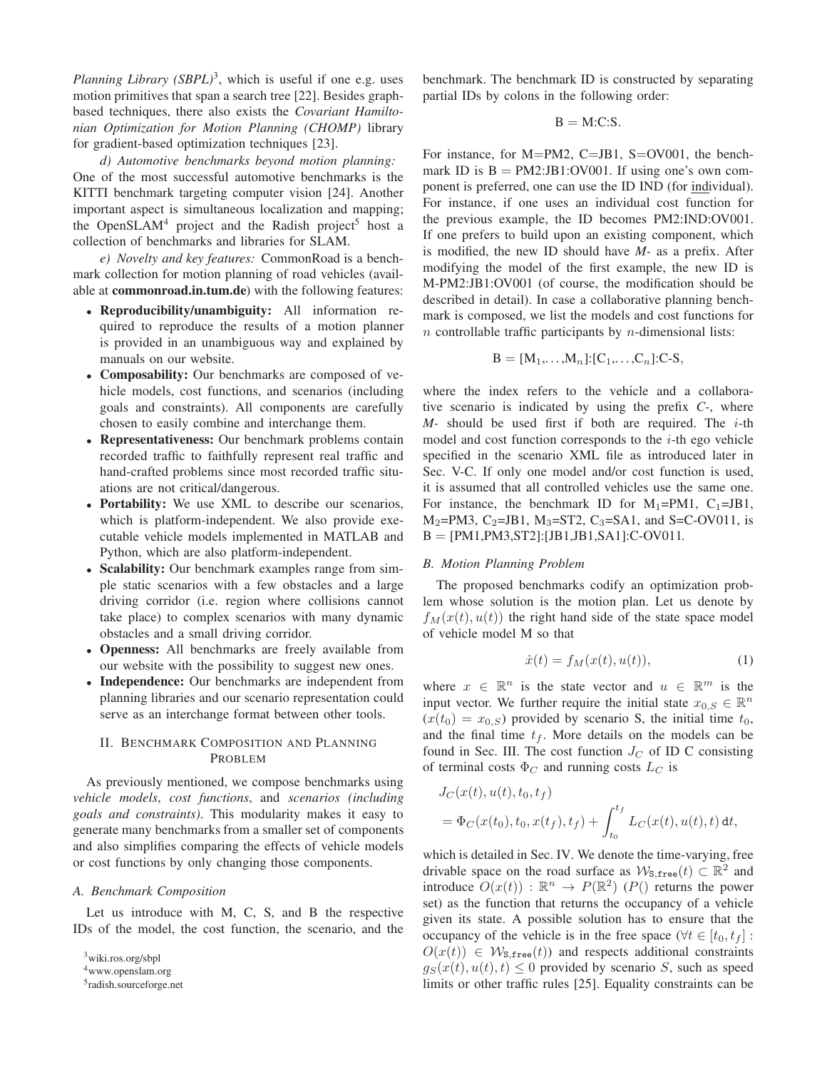Planning Library  $(SBPL)^3$ , which is useful if one e.g. uses motion primitives that span a search tree [22]. Besides graphbased techniques, there also exists the Covariant Hamiltonian Optimization for Motion Planning (CHOMP) library for gradient-based optimization techniques [23].

d) Automotive benchmarks beyond motion planning: One of the most successful automotive benchmarks is the KITTI benchmark targeting computer vision [24]. Another important aspect is simultaneous localization and mapping; the OpenSLAM<sup>4</sup> project and the Radish project<sup>5</sup> host a collection of benchmarks and libraries for SLAM.

e) Novelty and key features: CommonRoad is a benchmark collection for motion planning of road vehicles (available at commonroad.in.tum.de) with the following features:

- Reproducibility/unambiguity: All information required to reproduce the results of a motion planner is provided in an unambiguous way and explained by manuals on our website.
- Composability: Our benchmarks are composed of vehicle models, cost functions, and scenarios (including goals and constraints). All components are carefully chosen to easily combine and interchange them.
- Representativeness: Our benchmark problems contain recorded traffic to faithfully represent real traffic and hand-crafted problems since most recorded traffic situations are not critical/dangerous.
- Portability: We use XML to describe our scenarios, which is platform-independent. We also provide executable vehicle models implemented in MATLAB and Python, which are also platform-independent.
- Scalability: Our benchmark examples range from simple static scenarios with a few obstacles and a large driving corridor (i.e. region where collisions cannot take place) to complex scenarios with many dynamic obstacles and a small driving corridor.
- Openness: All benchmarks are freely available from our website with the possibility to suggest new ones.
- Independence: Our benchmarks are independent from planning libraries and our scenario representation could serve as an interchange format between other tools.

# **II. BENCHMARK COMPOSITION AND PLANNING** PROBLEM

As previously mentioned, we compose benchmarks using vehicle models, cost functions, and scenarios (including goals and constraints). This modularity makes it easy to generate many benchmarks from a smaller set of components and also simplifies comparing the effects of vehicle models or cost functions by only changing those components.

# A. Benchmark Composition

Let us introduce with M, C, S, and B the respective IDs of the model, the cost function, the scenario, and the benchmark. The benchmark ID is constructed by separating partial IDs by colons in the following order:

$$
B = M.C.S.
$$

For instance, for M=PM2, C=JB1, S=OV001, the benchmark ID is  $B = PM2:JB1:OV001$ . If using one's own component is preferred, one can use the ID IND (for individual). For instance, if one uses an individual cost function for the previous example, the ID becomes PM2:IND:OV001. If one prefers to build upon an existing component, which is modified, the new ID should have  $M$ - as a prefix. After modifying the model of the first example, the new ID is M-PM2:JB1:OV001 (of course, the modification should be described in detail). In case a collaborative planning benchmark is composed, we list the models and cost functions for  $n$  controllable traffic participants by  $n$ -dimensional lists:

$$
\mathbf{B} = [\mathbf{M}_1, \dots, \mathbf{M}_n] : [\mathbf{C}_1, \dots, \mathbf{C}_n] : \mathbf{C} \cdot \mathbf{S},
$$

where the index refers to the vehicle and a collaborative scenario is indicated by using the prefix  $C<sub>z</sub>$ , where  $M$ - should be used first if both are required. The *i*-th model and cost function corresponds to the  $i$ -th ego vehicle specified in the scenario XML file as introduced later in Sec. V-C. If only one model and/or cost function is used, it is assumed that all controlled vehicles use the same one. For instance, the benchmark ID for  $M_1=PM1$ ,  $C_1=JB1$ ,  $M_2$ =PM3, C<sub>2</sub>=JB1, M<sub>3</sub>=ST2, C<sub>3</sub>=SA1, and S=C-OV011, is  $B = [PM1, PM3, ST2]: [JB1, JB1, SA1]: C-OV011.$ 

## **B.** Motion Planning Problem

The proposed benchmarks codify an optimization problem whose solution is the motion plan. Let us denote by  $f<sub>M</sub>(x(t), u(t))$  the right hand side of the state space model of vehicle model M so that

$$
\dot{x}(t) = f_M(x(t), u(t)),\tag{1}
$$

where  $x \in \mathbb{R}^n$  is the state vector and  $u \in \mathbb{R}^m$  is the input vector. We further require the initial state  $x_{0,S} \in \mathbb{R}^n$  $(x(t_0) = x_{0,S})$  provided by scenario S, the initial time  $t_0$ , and the final time  $t_f$ . More details on the models can be found in Sec. III. The cost function  $J_C$  of ID C consisting of terminal costs  $\Phi_C$  and running costs  $L_C$  is

$$
J_C(x(t), u(t), t_0, t_f)
$$
  
=  $\Phi_C(x(t_0), t_0, x(t_f), t_f) + \int_{t_0}^{t_f} L_C(x(t), u(t), t) dt,$ 

which is detailed in Sec. IV. We denote the time-varying, free drivable space on the road surface as  $W_{\text{S,free}}(t) \subset \mathbb{R}^2$  and introduce  $O(x(t)) : \mathbb{R}^n \to P(\mathbb{R}^2)$  (P() returns the power set) as the function that returns the occupancy of a vehicle given its state. A possible solution has to ensure that the occupancy of the vehicle is in the free space  $(\forall t \in [t_0, t_f])$ :  $O(x(t)) \in W_{\text{s,free}}(t)$  and respects additional constraints  $g_S(x(t), u(t), t) \leq 0$  provided by scenario S, such as speed limits or other traffic rules [25]. Equality constraints can be

<sup>&</sup>lt;sup>3</sup>wiki.ros.org/sbpl

<sup>&</sup>lt;sup>4</sup>www.openslam.org

 $5$ radish.sourceforge.net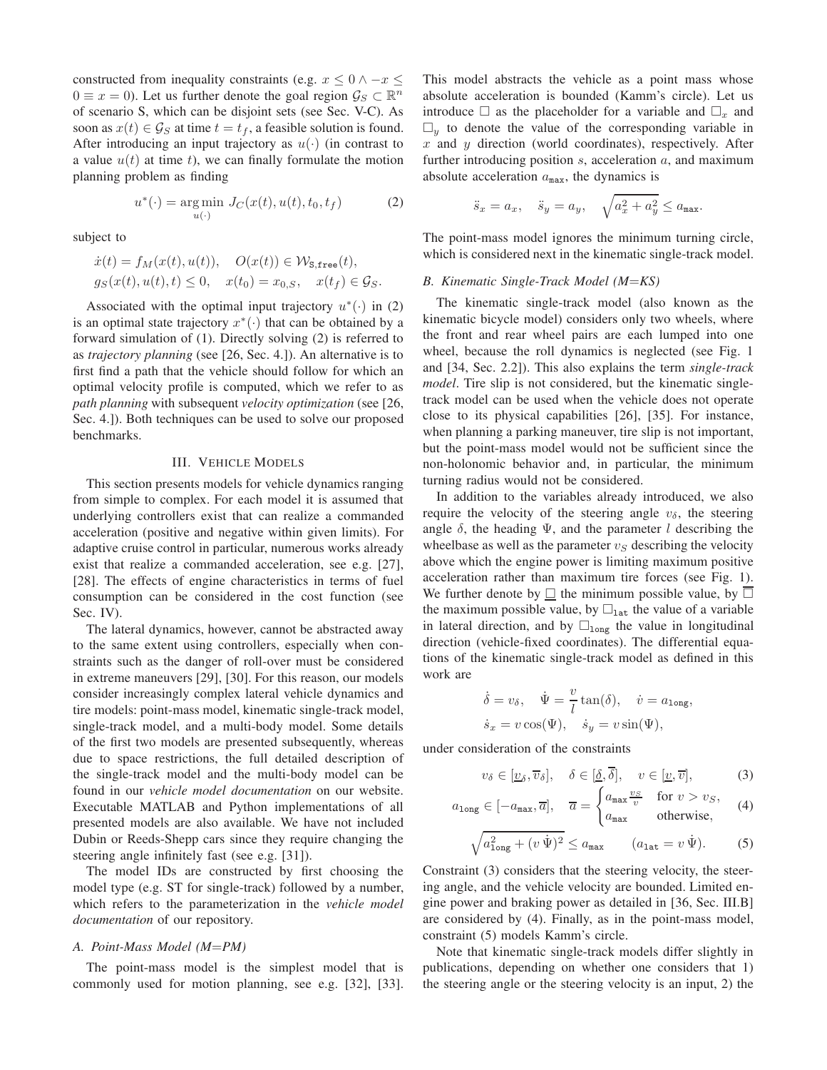constructed from inequality constraints (e.g.  $x \leq 0 \land -x \leq$  $0 \equiv x = 0$ ). Let us further denote the goal region  $\mathcal{G}_S \subset \mathbb{R}^n$ of scenario S, which can be disjoint sets (see Sec. V-C). As soon as  $x(t) \in \mathcal{G}_S$  at time  $t = t_f$ , a feasible solution is found. After introducing an input trajectory as  $u(\cdot)$  (in contrast to a value  $u(t)$  at time t), we can finally formulate the motion planning problem as finding

$$
u^*(\cdot) = \underset{u(\cdot)}{\text{arg min}} J_C(x(t), u(t), t_0, t_f)
$$
 (2)

subject to

$$
\dot{x}(t) = f_M(x(t), u(t)), \quad O(x(t)) \in \mathcal{W}_{\text{S,free}}(t),
$$
  

$$
g_S(x(t), u(t), t) \le 0, \quad x(t_0) = x_{0,S}, \quad x(t_f) \in \mathcal{G}_S.
$$

Associated with the optimal input trajectory  $u^*(\cdot)$  in (2) is an optimal state trajectory  $x^*(\cdot)$  that can be obtained by a forward simulation of  $(1)$ . Directly solving  $(2)$  is referred to as trajectory planning (see [26, Sec. 4.]). An alternative is to first find a path that the vehicle should follow for which an optimal velocity profile is computed, which we refer to as path planning with subsequent velocity optimization (see [26, Sec. 4.]). Both techniques can be used to solve our proposed benchmarks.

## **III. VEHICLE MODELS**

This section presents models for vehicle dynamics ranging from simple to complex. For each model it is assumed that underlying controllers exist that can realize a commanded acceleration (positive and negative within given limits). For adaptive cruise control in particular, numerous works already exist that realize a commanded acceleration, see e.g. [27], [28]. The effects of engine characteristics in terms of fuel consumption can be considered in the cost function (see Sec. IV).

The lateral dynamics, however, cannot be abstracted away to the same extent using controllers, especially when constraints such as the danger of roll-over must be considered in extreme maneuvers [29], [30]. For this reason, our models consider increasingly complex lateral vehicle dynamics and tire models: point-mass model, kinematic single-track model, single-track model, and a multi-body model. Some details of the first two models are presented subsequently, whereas due to space restrictions, the full detailed description of the single-track model and the multi-body model can be found in our *vehicle model documentation* on our website. Executable MATLAB and Python implementations of all presented models are also available. We have not included Dubin or Reeds-Shepp cars since they require changing the steering angle infinitely fast (see e.g. [31]).

The model IDs are constructed by first choosing the model type (e.g. ST for single-track) followed by a number, which refers to the parameterization in the vehicle model *documentation* of our repository.

#### A. Point-Mass Model (M=PM)

The point-mass model is the simplest model that is commonly used for motion planning, see e.g. [32], [33]. This model abstracts the vehicle as a point mass whose absolute acceleration is bounded (Kamm's circle). Let us introduce  $\square$  as the placeholder for a variable and  $\square_x$  and  $\square$ <sub>u</sub> to denote the value of the corresponding variable in  $x$  and  $y$  direction (world coordinates), respectively. After further introducing position  $s$ , acceleration  $a$ , and maximum absolute acceleration  $a_{\text{max}}$ , the dynamics is

$$
\ddot{s}_x = a_x, \quad \ddot{s}_y = a_y, \quad \sqrt{a_x^2 + a_y^2} \le a_{\text{max}}.
$$

The point-mass model ignores the minimum turning circle, which is considered next in the kinematic single-track model.

## B. Kinematic Single-Track Model (M=KS)

The kinematic single-track model (also known as the kinematic bicycle model) considers only two wheels, where the front and rear wheel pairs are each lumped into one wheel, because the roll dynamics is neglected (see Fig. 1) and [34, Sec. 2.2]). This also explains the term *single-track model*. Tire slip is not considered, but the kinematic singletrack model can be used when the vehicle does not operate close to its physical capabilities [26], [35]. For instance, when planning a parking maneuver, tire slip is not important, but the point-mass model would not be sufficient since the non-holonomic behavior and, in particular, the minimum turning radius would not be considered.

In addition to the variables already introduced, we also require the velocity of the steering angle  $v_{\delta}$ , the steering angle  $\delta$ , the heading  $\Psi$ , and the parameter l describing the wheelbase as well as the parameter  $v<sub>S</sub>$  describing the velocity above which the engine power is limiting maximum positive acceleration rather than maximum tire forces (see Fig. 1). We further denote by  $\mathbf{\underline{\square}}$  the minimum possible value, by  $\mathbf{\overline{\square}}$ the maximum possible value, by  $\square_{\text{lat}}$  the value of a variable in lateral direction, and by  $\square_{\text{long}}$  the value in longitudinal direction (vehicle-fixed coordinates). The differential equations of the kinematic single-track model as defined in this work are

$$
\dot{\delta} = v_{\delta}, \quad \dot{\Psi} = \frac{v}{l} \tan(\delta), \quad \dot{v} = a_{\text{long}}
$$

$$
\dot{s}_x = v \cos(\Psi), \quad \dot{s}_y = v \sin(\Psi),
$$

under consideration of the constraints

$$
v_{\delta} \in [\underline{v}_{\delta}, \overline{v}_{\delta}], \quad \delta \in [\underline{\delta}, \overline{\delta}], \quad v \in [\underline{v}, \overline{v}], \tag{3}
$$

$$
a_{\text{long}} \in [-a_{\text{max}}, \overline{a}], \quad \overline{a} = \begin{cases} a_{\text{max}} \frac{v_S}{v} & \text{for } v > v_S, \\ a_{\text{max}} & \text{otherwise,} \end{cases}
$$
(4)

$$
\sqrt{a_{\text{long}}^2 + (v\,\dot{\Psi})^2} \le a_{\text{max}} \qquad (a_{\text{lat}} = v\,\dot{\Psi}).\tag{5}
$$

Constraint (3) considers that the steering velocity, the steering angle, and the vehicle velocity are bounded. Limited engine power and braking power as detailed in [36, Sec. III.B] are considered by (4). Finally, as in the point-mass model, constraint (5) models Kamm's circle.

Note that kinematic single-track models differ slightly in publications, depending on whether one considers that 1) the steering angle or the steering velocity is an input, 2) the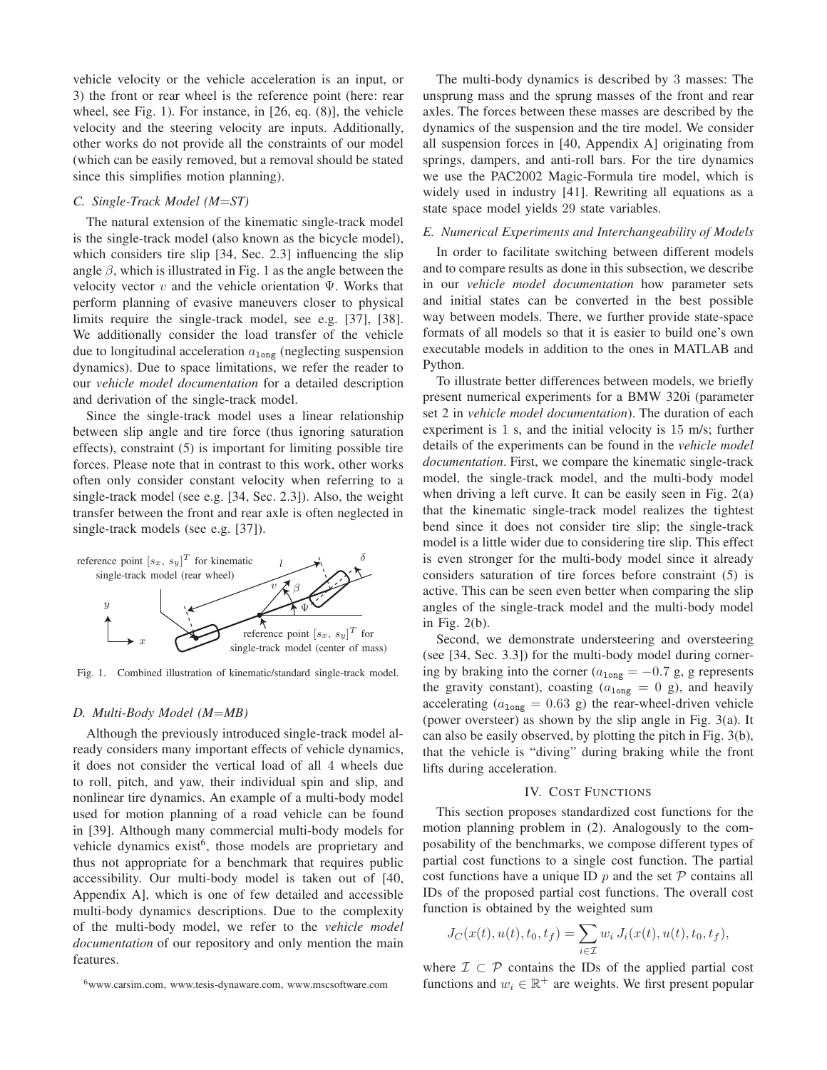vehicle velocity or the vehicle acceleration is an input, or 3) the front or rear wheel is the reference point (here: rear wheel, see Fig. 1). For instance, in  $[26, eq. (8)]$ , the vehicle velocity and the steering velocity are inputs. Additionally, other works do not provide all the constraints of our model (which can be easily removed, but a removal should be stated since this simplifies motion planning).

# C. Single-Track Model ( $M = ST$ )

The natural extension of the kinematic single-track model is the single-track model (also known as the bicycle model), which considers tire slip [34, Sec. 2.3] influencing the slip angle  $\beta$ , which is illustrated in Fig. 1 as the angle between the velocity vector  $v$  and the vehicle orientation  $\Psi$ . Works that perform planning of evasive maneuvers closer to physical limits require the single-track model, see e.g. [37], [38]. We additionally consider the load transfer of the vehicle due to longitudinal acceleration  $a_{\text{long}}$  (neglecting suspension dynamics). Due to space limitations, we refer the reader to our *vehicle model documentation* for a detailed description and derivation of the single-track model.

Since the single-track model uses a linear relationship between slip angle and tire force (thus ignoring saturation effects), constraint (5) is important for limiting possible tire forces. Please note that in contrast to this work, other works often only consider constant velocity when referring to a single-track model (see e.g. [34, Sec. 2.3]). Also, the weight transfer between the front and rear axle is often neglected in single-track models (see e.g. [37]).



Fig. 1. Combined illustration of kinematic/standard single-track model.

#### D. Multi-Body Model (M=MB)

Although the previously introduced single-track model already considers many important effects of vehicle dynamics, it does not consider the vertical load of all 4 wheels due to roll, pitch, and yaw, their individual spin and slip, and nonlinear tire dynamics. An example of a multi-body model used for motion planning of a road vehicle can be found in [39]. Although many commercial multi-body models for vehicle dynamics exist<sup>6</sup>, those models are proprietary and thus not appropriate for a benchmark that requires public accessibility. Our multi-body model is taken out of [40, Appendix A], which is one of few detailed and accessible multi-body dynamics descriptions. Due to the complexity of the multi-body model, we refer to the vehicle model *documentation* of our repository and only mention the main features.

The multi-body dynamics is described by 3 masses: The unsprung mass and the sprung masses of the front and rear axles. The forces between these masses are described by the dynamics of the suspension and the tire model. We consider all suspension forces in [40, Appendix A] originating from springs, dampers, and anti-roll bars. For the tire dynamics we use the PAC2002 Magic-Formula tire model, which is widely used in industry [41]. Rewriting all equations as a state space model yields 29 state variables.

# E. Numerical Experiments and Interchangeability of Models

In order to facilitate switching between different models and to compare results as done in this subsection, we describe in our *vehicle model documentation* how parameter sets and initial states can be converted in the best possible way between models. There, we further provide state-space formats of all models so that it is easier to build one's own executable models in addition to the ones in MATLAB and Python.

To illustrate better differences between models, we briefly present numerical experiments for a BMW 320i (parameter set 2 in *vehicle model documentation*). The duration of each experiment is 1 s, and the initial velocity is 15 m/s; further details of the experiments can be found in the vehicle model documentation. First, we compare the kinematic single-track model, the single-track model, and the multi-body model when driving a left curve. It can be easily seen in Fig.  $2(a)$ that the kinematic single-track model realizes the tightest bend since it does not consider tire slip; the single-track model is a little wider due to considering tire slip. This effect is even stronger for the multi-body model since it already considers saturation of tire forces before constraint (5) is active. This can be seen even better when comparing the slip angles of the single-track model and the multi-body model in Fig.  $2(b)$ .

Second, we demonstrate understeering and oversteering (see [34, Sec. 3.3]) for the multi-body model during cornering by braking into the corner ( $a_{\text{long}} = -0.7$  g, g represents the gravity constant), coasting ( $a_{\text{long}} = 0$  g), and heavily accelerating ( $a_{\text{long}} = 0.63$  g) the rear-wheel-driven vehicle (power oversteer) as shown by the slip angle in Fig.  $3(a)$ . It can also be easily observed, by plotting the pitch in Fig. 3(b), that the vehicle is "diving" during braking while the front lifts during acceleration.

#### **IV. COST FUNCTIONS**

This section proposes standardized cost functions for the motion planning problem in (2). Analogously to the composability of the benchmarks, we compose different types of partial cost functions to a single cost function. The partial cost functions have a unique ID  $p$  and the set  $\mathcal P$  contains all IDs of the proposed partial cost functions. The overall cost function is obtained by the weighted sum

$$
J_C(x(t), u(t), t_0, t_f) = \sum_{i \in \mathcal{I}} w_i J_i(x(t), u(t), t_0, t_f),
$$

where  $\mathcal{I} \subset \mathcal{P}$  contains the IDs of the applied partial cost functions and  $w_i \in \mathbb{R}^+$  are weights. We first present popular

<sup>&</sup>lt;sup>6</sup>www.carsim.com, www.tesis-dynaware.com, www.mscsoftware.com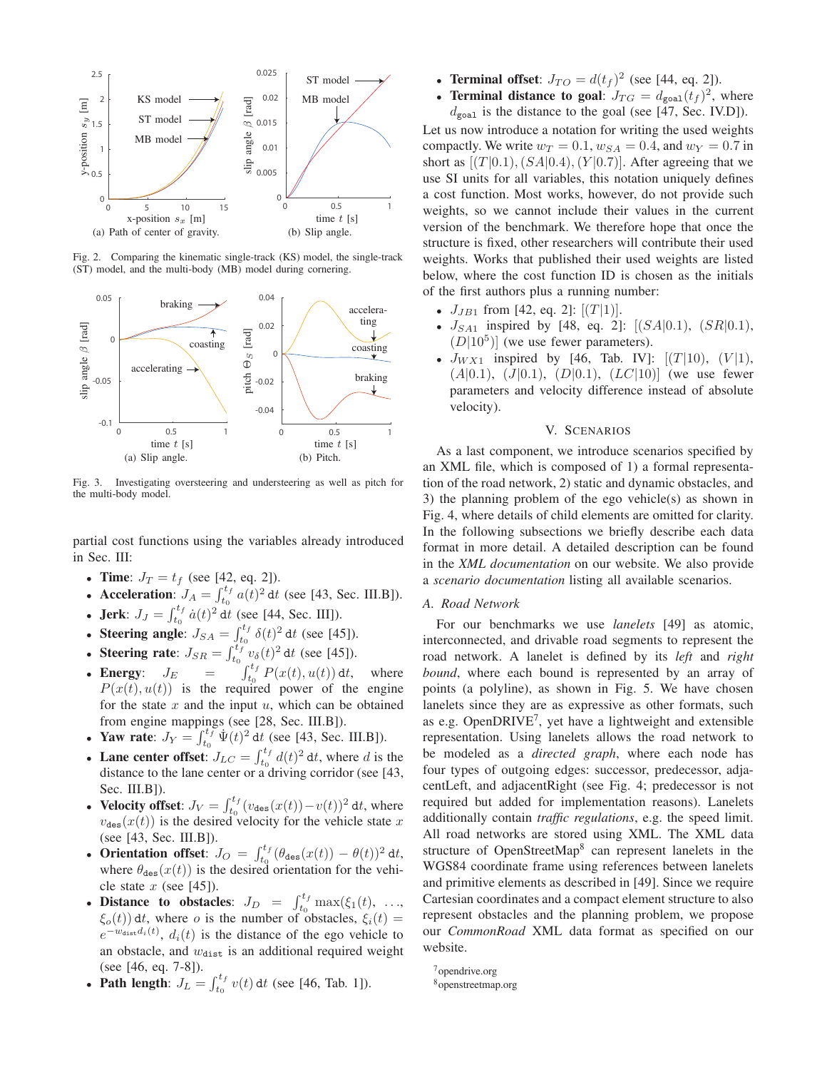

Fig. 2. Comparing the kinematic single-track (KS) model, the single-track (ST) model, and the multi-body (MB) model during cornering.



Fig. 3. Investigating oversteering and understeering as well as pitch for the multi-body model.

partial cost functions using the variables already introduced in Sec. III:

- Time:  $J_T = t_f$  (see [42, eq. 2]).
- Acceleration:  $J_A = \int_{t_0}^{t_f} a(t)^2 dt$  (see [43, Sec. III.B]).<br>
 Jerk:  $J_J = \int_{t_0}^{t_f} \dot{a}(t)^2 dt$  (see [44, Sec. III]).
- 
- 
- 
- Steering angle:  $J_{SA} = \int_{t_0}^{t_f} \delta(t)^2 dt$  (see [45]).<br>
 Steering rate:  $J_{SR} = \int_{t_0}^{t_f} v_{\delta}(t)^2 dt$  (see [45]).<br>
 Energy:  $J_E = \int_{t_0}^{t_f} P(x(t), u(t)) dt$ , where  $P(x(t), u(t))$  is the required power of the engine for the state  $x$  and the input  $u$ , which can be obtained from engine mappings (see [28, Sec. III.B]).
- Yaw rate:  $J_Y = \int_{t_0}^{t_f} \Psi(t)^2 dt$  (see [43, Sec. III.B]).
- **Lane center offset:**  $J_{LC} = \int_{t_0}^{t_f} d(t)^2 dt$ , where d is the distance to the lane center or a driving corridor (see [43, Sec. III.B]).
- Velocity offset:  $J_V = \int_{t_0}^{t_f} (v_{\text{des}}(x(t)) v(t))^2 dt$ , where  $v_{\text{des}}(x(t))$  is the desired velocity for the vehicle state x (see [43, Sec. III.B]).
- **Orientation offset:**  $J_O = \int_{t_0}^{t_f} (\theta_{\text{des}}(x(t)) \theta(t))^2 dt$ ,<br>where  $\theta_{\text{des}}(x(t))$  is the desired orientation for the vehicle state  $x$  (see [45]).
- **Distance to obstacles:**  $J_D = \int_{t_0}^{t_f} \max(\xi_1(t), \dots, \xi_0(t)) dt$ , where *o* is the number of obstacles,  $\xi_i(t) =$  $e^{-w_{\text{dist}}d_i(t)}$ ,  $d_i(t)$  is the distance of the ego vehicle to an obstacle, and  $w_{\text{dist}}$  is an additional required weight (see [46, eq. 7-8]).
- Path length:  $J_L = \int_{t_0}^{t_f} v(t) dt$  (see [46, Tab. 1]).
- Terminal offset:  $J_{TO} = d(t_f)^2$  (see [44, eq. 2]).
- **Terminal distance to goal:**  $J_{TG} = d_{\text{goal}}(t_f)^2$ , where  $d_{\text{goal}}$  is the distance to the goal (see [47, Sec. IV.D]).

Let us now introduce a notation for writing the used weights compactly. We write  $w_T = 0.1$ ,  $w_{SA} = 0.4$ , and  $w_Y = 0.7$  in short as  $[(T|0.1), (SA|0.4), (Y|0.7)]$ . After agreeing that we use SI units for all variables, this notation uniquely defines a cost function. Most works, however, do not provide such weights, so we cannot include their values in the current version of the benchmark. We therefore hope that once the structure is fixed, other researchers will contribute their used weights. Works that published their used weights are listed below, where the cost function ID is chosen as the initials of the first authors plus a running number:

- $J_{JB1}$  from [42, eq. 2]: [ $(T|1)$ ].
- $J_{SA1}$  inspired by [48, eq. 2]: [( $SA|0.1$ ), ( $SR|0.1$ ),  $(D|10^5)$  (we use fewer parameters).
- $J_{WX1}$  inspired by [46, Tab. IV]:  $[(T|10), (V|1),$  $(A|0.1), (J|0.1), (D|0.1), (LC|10)$  (we use fewer parameters and velocity difference instead of absolute velocity).

# V. SCENARIOS

As a last component, we introduce scenarios specified by an XML file, which is composed of 1) a formal representation of the road network, 2) static and dynamic obstacles, and 3) the planning problem of the ego vehicle(s) as shown in Fig. 4, where details of child elements are omitted for clarity. In the following subsections we briefly describe each data format in more detail. A detailed description can be found in the XML documentation on our website. We also provide a scenario documentation listing all available scenarios.

# A. Road Network

For our benchmarks we use *lanelets* [49] as atomic, interconnected, and drivable road segments to represent the road network. A lanelet is defined by its *left* and *right bound*, where each bound is represented by an array of points (a polyline), as shown in Fig. 5. We have chosen lanelets since they are as expressive as other formats, such as e.g. OpenDRIVE<sup>7</sup>, yet have a lightweight and extensible representation. Using lanelets allows the road network to be modeled as a *directed graph*, where each node has four types of outgoing edges: successor, predecessor, adjacentLeft, and adjacentRight (see Fig. 4; predecessor is not required but added for implementation reasons). Lanelets additionally contain traffic regulations, e.g. the speed limit. All road networks are stored using XML. The XML data structure of OpenStreetMap<sup>8</sup> can represent lanelets in the WGS84 coordinate frame using references between lanelets and primitive elements as described in [49]. Since we require Cartesian coordinates and a compact element structure to also represent obstacles and the planning problem, we propose our CommonRoad XML data format as specified on our website.

 $7$ opendrive.org

<sup>&</sup>lt;sup>8</sup>openstreetmap.org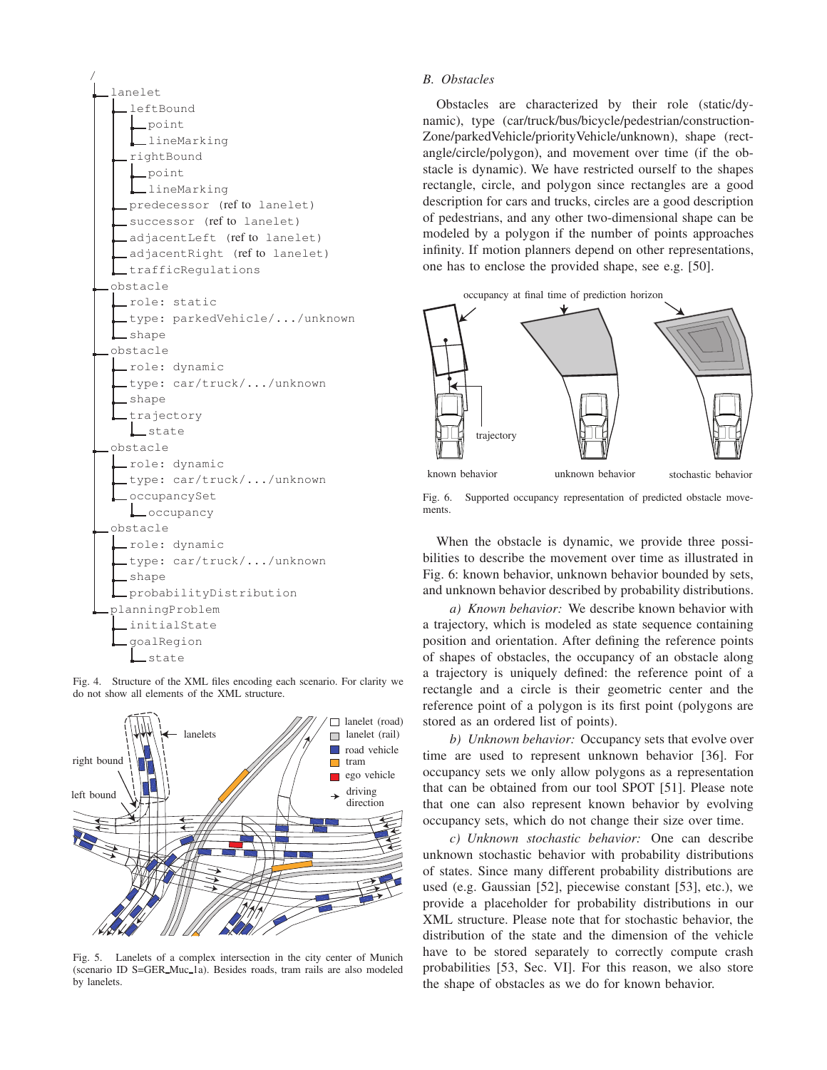





Lanelets of a complex intersection in the city center of Munich Fig.  $5$ . (scenario ID S=GER\_Muc\_1a). Besides roads, tram rails are also modeled by lanelets.

#### **B.** Obstacles

Obstacles are characterized by their role (static/dynamic), type (car/truck/bus/bicycle/pedestrian/construction-Zone/parkedVehicle/priorityVehicle/unknown), shape (rectangle/circle/polygon), and movement over time (if the obstacle is dynamic). We have restricted ourself to the shapes rectangle, circle, and polygon since rectangles are a good description for cars and trucks, circles are a good description of pedestrians, and any other two-dimensional shape can be modeled by a polygon if the number of points approaches infinity. If motion planners depend on other representations, one has to enclose the provided shape, see e.g. [50].

occupancy at final time of prediction horizon



Fig. 6. Supported occupancy representation of predicted obstacle movements.

When the obstacle is dynamic, we provide three possibilities to describe the movement over time as illustrated in Fig. 6: known behavior, unknown behavior bounded by sets, and unknown behavior described by probability distributions.

a) Known behavior: We describe known behavior with a trajectory, which is modeled as state sequence containing position and orientation. After defining the reference points of shapes of obstacles, the occupancy of an obstacle along a trajectory is uniquely defined: the reference point of a rectangle and a circle is their geometric center and the reference point of a polygon is its first point (polygons are stored as an ordered list of points).

b) Unknown behavior: Occupancy sets that evolve over time are used to represent unknown behavior [36]. For occupancy sets we only allow polygons as a representation that can be obtained from our tool SPOT [51]. Please note that one can also represent known behavior by evolving occupancy sets, which do not change their size over time.

c) Unknown stochastic behavior: One can describe unknown stochastic behavior with probability distributions of states. Since many different probability distributions are used (e.g. Gaussian [52], piecewise constant [53], etc.), we provide a placeholder for probability distributions in our XML structure. Please note that for stochastic behavior, the distribution of the state and the dimension of the vehicle have to be stored separately to correctly compute crash probabilities [53, Sec. VI]. For this reason, we also store the shape of obstacles as we do for known behavior.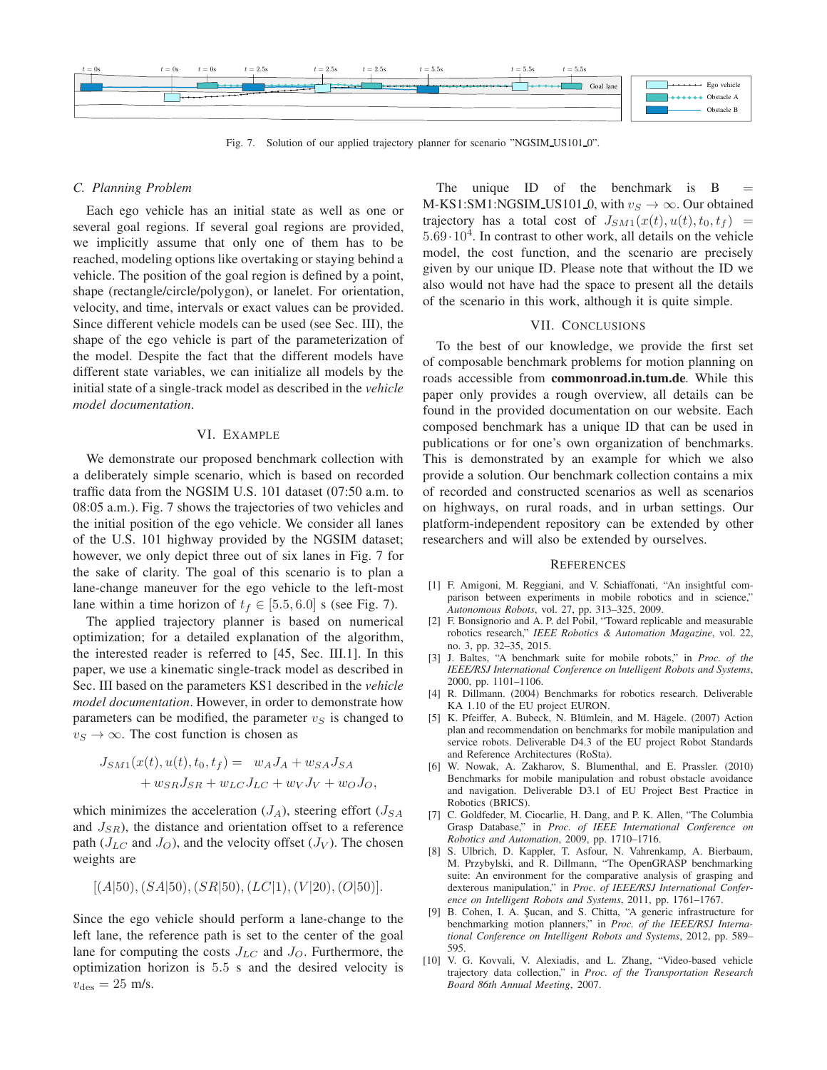| $t=5.5s$<br>$t=2.5s$<br>$t=2.5s$<br>$t=2.5s$<br>$t=5.5s$<br>$t=5.5s$<br>$t=0$ s<br>$t=0$ s<br>$t=0$ s                                                                                                                                |                                                                                                       |
|--------------------------------------------------------------------------------------------------------------------------------------------------------------------------------------------------------------------------------------|-------------------------------------------------------------------------------------------------------|
| Goal lane<br>$- + - -$<br>وتوجده ومناور<br>المستحققات                                                                                                                                                                                | $\begin{array}{ccc}\n\cdots & \cdots & \cdots \\ \vdots & \ddots & \vdots \\ \end{array}$ Ego vehicle |
| <u> 1988   programma programma programma programma programma programma programma programma programma programma programma programma programma programma programma programma programma programma programma programma programma pro</u> | $\rightarrow \rightarrow \rightarrow \rightarrow \rightarrow$ Obstacle A                              |
|                                                                                                                                                                                                                                      | Obstacle B                                                                                            |

Fig. 7. Solution of our applied trajectory planner for scenario "NGSIM\_US101\_0".

#### C. Planning Problem

Each ego vehicle has an initial state as well as one or several goal regions. If several goal regions are provided, we implicitly assume that only one of them has to be reached, modeling options like overtaking or staying behind a vehicle. The position of the goal region is defined by a point, shape (rectangle/circle/polygon), or lanelet. For orientation, velocity, and time, intervals or exact values can be provided. Since different vehicle models can be used (see Sec. III), the shape of the ego vehicle is part of the parameterization of the model. Despite the fact that the different models have different state variables, we can initialize all models by the initial state of a single-track model as described in the vehicle model documentation.

#### VI. EXAMPLE

We demonstrate our proposed benchmark collection with a deliberately simple scenario, which is based on recorded traffic data from the NGSIM U.S. 101 dataset (07:50 a.m. to 08:05 a.m.). Fig. 7 shows the trajectories of two vehicles and the initial position of the ego vehicle. We consider all lanes of the U.S. 101 highway provided by the NGSIM dataset; however, we only depict three out of six lanes in Fig. 7 for the sake of clarity. The goal of this scenario is to plan a lane-change maneuver for the ego vehicle to the left-most lane within a time horizon of  $t_f \in [5.5, 6.0]$  s (see Fig. 7).

The applied trajectory planner is based on numerical optimization; for a detailed explanation of the algorithm, the interested reader is referred to [45, Sec. III.1]. In this paper, we use a kinematic single-track model as described in Sec. III based on the parameters KS1 described in the vehicle *model documentation*. However, in order to demonstrate how parameters can be modified, the parameter  $v<sub>S</sub>$  is changed to  $v_S \rightarrow \infty$ . The cost function is chosen as

$$
J_{SM1}(x(t), u(t), t_0, t_f) = w_A J_A + w_{SA} J_{SA}
$$
  
+ 
$$
w_{SR} J_{SR} + w_{LC} J_{LC} + w_V J_V + w_O J_O,
$$

which minimizes the acceleration  $(J_A)$ , steering effort  $(J_{SA})$ and  $J_{SR}$ ), the distance and orientation offset to a reference path ( $J_{LC}$  and  $J_O$ ), and the velocity offset ( $J_V$ ). The chosen weights are

$$
[(A|50), (SA|50), (SR|50), (LC|1), (V|20), (O|50)].
$$

Since the ego vehicle should perform a lane-change to the left lane, the reference path is set to the center of the goal lane for computing the costs  $J_{LC}$  and  $J_{O}$ . Furthermore, the optimization horizon is 5.5 s and the desired velocity is  $v_{\text{des}} = 25$  m/s.

The unique ID of the benchmark is B M-KS1:SM1:NGSIM\_US101\_0, with  $v_S \to \infty$ . Our obtained trajectory has a total cost of  $J_{SM1}(x(t),u(t),t_0,t_f)$  =  $5.69 \cdot 10^4$ . In contrast to other work, all details on the vehicle model, the cost function, and the scenario are precisely given by our unique ID. Please note that without the ID we also would not have had the space to present all the details of the scenario in this work, although it is quite simple.

# VII. CONCLUSIONS

To the best of our knowledge, we provide the first set of composable benchmark problems for motion planning on roads accessible from commonroad.in.tum.de. While this paper only provides a rough overview, all details can be found in the provided documentation on our website. Each composed benchmark has a unique ID that can be used in publications or for one's own organization of benchmarks. This is demonstrated by an example for which we also provide a solution. Our benchmark collection contains a mix of recorded and constructed scenarios as well as scenarios on highways, on rural roads, and in urban settings. Our platform-independent repository can be extended by other researchers and will also be extended by ourselves.

#### **REFERENCES**

- [1] F. Amigoni, M. Reggiani, and V. Schiaffonati, "An insightful comparison between experiments in mobile robotics and in science," Autonomous Robots, vol. 27, pp. 313-325, 2009.
- [2] F. Bonsignorio and A. P. del Pobil, "Toward replicable and measurable robotics research," IEEE Robotics & Automation Magazine, vol. 22, no. 3, pp. 32-35, 2015.
- [3] J. Baltes, "A benchmark suite for mobile robots," in Proc. of the IEEE/RSJ International Conference on Intelligent Robots and Systems, 2000, pp. 1101-1106.
- [4] R. Dillmann. (2004) Benchmarks for robotics research. Deliverable KA 1.10 of the EU project EURON.
- [5] K. Pfeiffer, A. Bubeck, N. Blümlein, and M. Hägele. (2007) Action plan and recommendation on benchmarks for mobile manipulation and service robots. Deliverable D4.3 of the EU project Robot Standards and Reference Architectures (RoSta).
- [6] W. Nowak, A. Zakharov, S. Blumenthal, and E. Prassler. (2010) Benchmarks for mobile manipulation and robust obstacle avoidance and navigation. Deliverable D3.1 of EU Project Best Practice in Robotics (BRICS).
- [7] C. Goldfeder, M. Ciocarlie, H. Dang, and P. K. Allen, "The Columbia Grasp Database," in Proc. of IEEE International Conference on Robotics and Automation, 2009, pp. 1710-1716.
- [8] S. Ulbrich, D. Kappler, T. Asfour, N. Vahrenkamp, A. Bierbaum, M. Przybylski, and R. Dillmann, "The OpenGRASP benchmarking suite: An environment for the comparative analysis of grasping and dexterous manipulation," in Proc. of IEEE/RSJ International Conference on Intelligent Robots and Systems, 2011, pp. 1761-1767.
- B. Cohen, I. A. Şucan, and S. Chitta, "A generic infrastructure for benchmarking motion planners," in Proc. of the IEEE/RSJ International Conference on Intelligent Robots and Systems, 2012, pp. 589-595.
- [10] V. G. Kovvali, V. Alexiadis, and L. Zhang, "Video-based vehicle trajectory data collection," in Proc. of the Transportation Research Board 86th Annual Meeting, 2007.